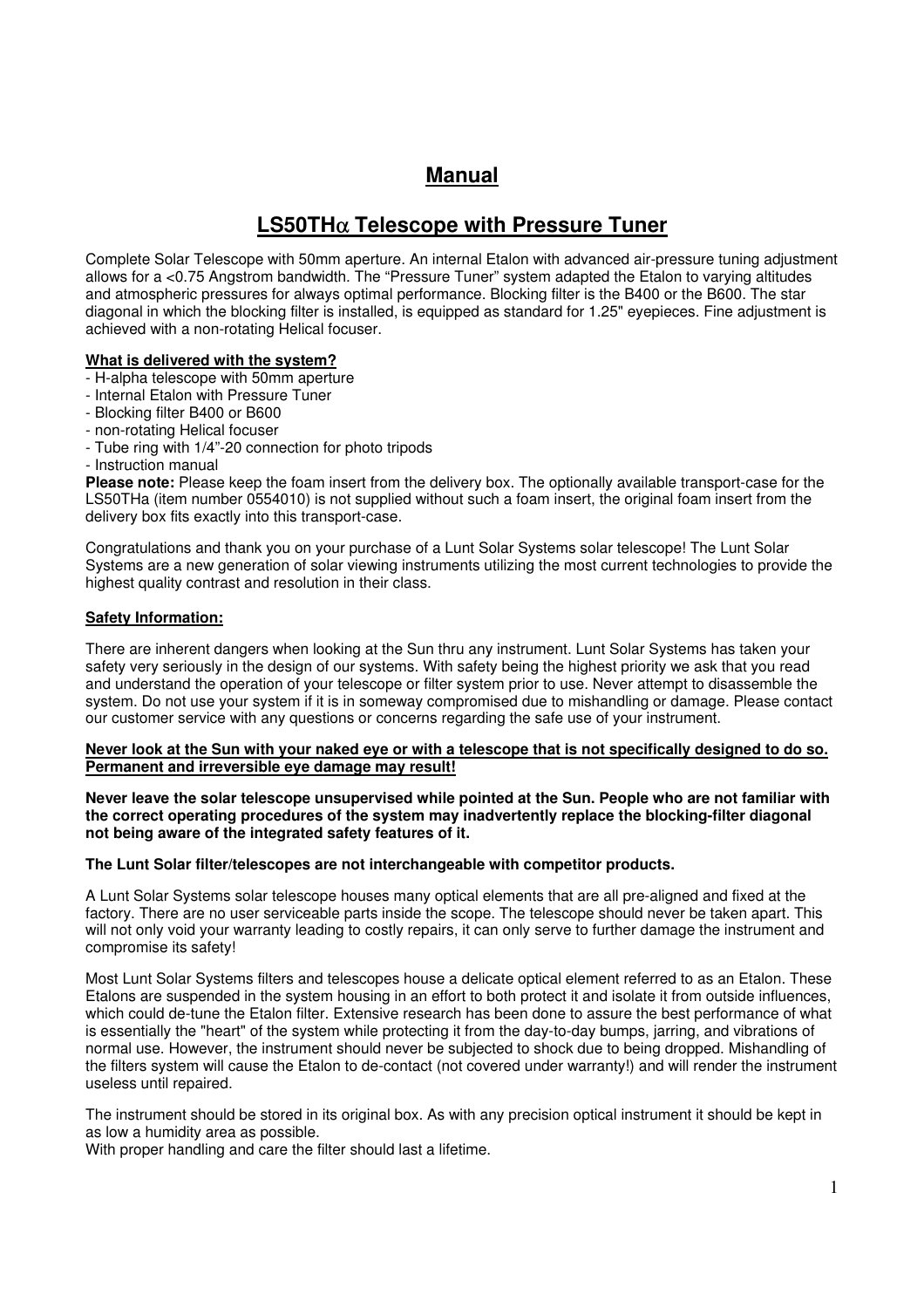# **Manual**

# **LS50TH**α **Telescope with Pressure Tuner**

Complete Solar Telescope with 50mm aperture. An internal Etalon with advanced air-pressure tuning adjustment allows for a <0.75 Angstrom bandwidth. The "Pressure Tuner" system adapted the Etalon to varying altitudes and atmospheric pressures for always optimal performance. Blocking filter is the B400 or the B600. The star diagonal in which the blocking filter is installed, is equipped as standard for 1.25" eyepieces. Fine adjustment is achieved with a non-rotating Helical focuser.

# **What is delivered with the system?**

- H-alpha telescope with 50mm aperture
- Internal Etalon with Pressure Tuner
- Blocking filter B400 or B600
- non-rotating Helical focuser
- Tube ring with 1/4"-20 connection for photo tripods
- Instruction manual

**Please note:** Please keep the foam insert from the delivery box. The optionally available transport-case for the LS50THa (item number 0554010) is not supplied without such a foam insert, the original foam insert from the delivery box fits exactly into this transport-case.

Congratulations and thank you on your purchase of a Lunt Solar Systems solar telescope! The Lunt Solar Systems are a new generation of solar viewing instruments utilizing the most current technologies to provide the highest quality contrast and resolution in their class.

### **Safety Information:**

There are inherent dangers when looking at the Sun thru any instrument. Lunt Solar Systems has taken your safety very seriously in the design of our systems. With safety being the highest priority we ask that you read and understand the operation of your telescope or filter system prior to use. Never attempt to disassemble the system. Do not use your system if it is in someway compromised due to mishandling or damage. Please contact our customer service with any questions or concerns regarding the safe use of your instrument.

#### **Never look at the Sun with your naked eye or with a telescope that is not specifically designed to do so. Permanent and irreversible eye damage may result!**

**Never leave the solar telescope unsupervised while pointed at the Sun. People who are not familiar with the correct operating procedures of the system may inadvertently replace the blocking-filter diagonal not being aware of the integrated safety features of it.** 

#### **The Lunt Solar filter/telescopes are not interchangeable with competitor products.**

A Lunt Solar Systems solar telescope houses many optical elements that are all pre-aligned and fixed at the factory. There are no user serviceable parts inside the scope. The telescope should never be taken apart. This will not only void your warranty leading to costly repairs, it can only serve to further damage the instrument and compromise its safety!

Most Lunt Solar Systems filters and telescopes house a delicate optical element referred to as an Etalon. These Etalons are suspended in the system housing in an effort to both protect it and isolate it from outside influences, which could de-tune the Etalon filter. Extensive research has been done to assure the best performance of what is essentially the "heart" of the system while protecting it from the day-to-day bumps, jarring, and vibrations of normal use. However, the instrument should never be subjected to shock due to being dropped. Mishandling of the filters system will cause the Etalon to de-contact (not covered under warranty!) and will render the instrument useless until repaired.

The instrument should be stored in its original box. As with any precision optical instrument it should be kept in as low a humidity area as possible.

With proper handling and care the filter should last a lifetime.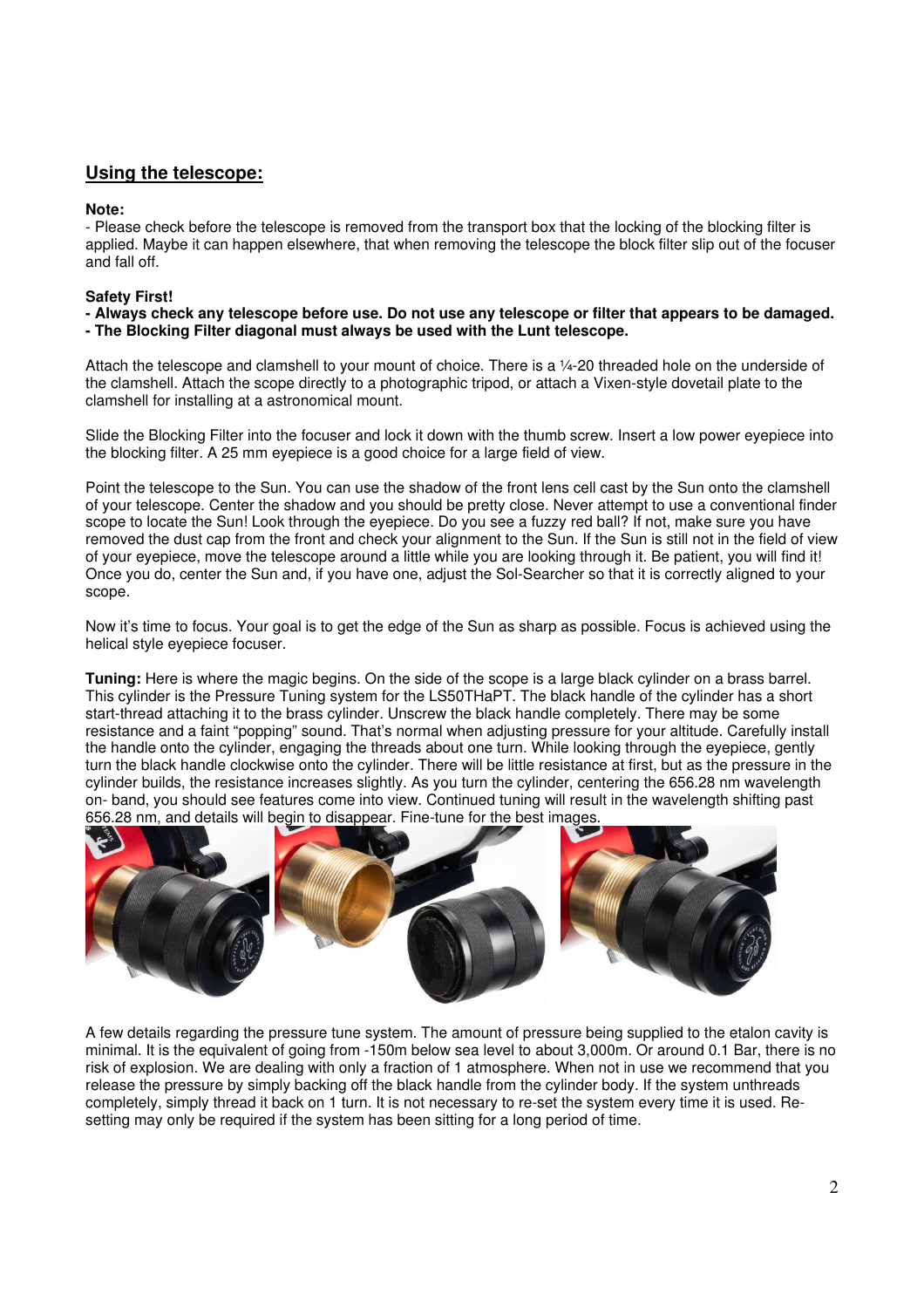# **Using the telescope:**

### **Note:**

- Please check before the telescope is removed from the transport box that the locking of the blocking filter is applied. Maybe it can happen elsewhere, that when removing the telescope the block filter slip out of the focuser and fall off.

# **Safety First!**

**- Always check any telescope before use. Do not use any telescope or filter that appears to be damaged. - The Blocking Filter diagonal must always be used with the Lunt telescope.**

Attach the telescope and clamshell to your mount of choice. There is a ¼-20 threaded hole on the underside of the clamshell. Attach the scope directly to a photographic tripod, or attach a Vixen-style dovetail plate to the clamshell for installing at a astronomical mount.

Slide the Blocking Filter into the focuser and lock it down with the thumb screw. Insert a low power eyepiece into the blocking filter. A 25 mm eyepiece is a good choice for a large field of view.

Point the telescope to the Sun. You can use the shadow of the front lens cell cast by the Sun onto the clamshell of your telescope. Center the shadow and you should be pretty close. Never attempt to use a conventional finder scope to locate the Sun! Look through the eyepiece. Do you see a fuzzy red ball? If not, make sure you have removed the dust cap from the front and check your alignment to the Sun. If the Sun is still not in the field of view of your eyepiece, move the telescope around a little while you are looking through it. Be patient, you will find it! Once you do, center the Sun and, if you have one, adjust the Sol-Searcher so that it is correctly aligned to your scope.

Now it's time to focus. Your goal is to get the edge of the Sun as sharp as possible. Focus is achieved using the helical style eyepiece focuser.

**Tuning:** Here is where the magic begins. On the side of the scope is a large black cylinder on a brass barrel. This cylinder is the Pressure Tuning system for the LS50THaPT. The black handle of the cylinder has a short start-thread attaching it to the brass cylinder. Unscrew the black handle completely. There may be some resistance and a faint "popping" sound. That's normal when adjusting pressure for your altitude. Carefully install the handle onto the cylinder, engaging the threads about one turn. While looking through the eyepiece, gently turn the black handle clockwise onto the cylinder. There will be little resistance at first, but as the pressure in the cylinder builds, the resistance increases slightly. As you turn the cylinder, centering the 656.28 nm wavelength on- band, you should see features come into view. Continued tuning will result in the wavelength shifting past 656.28 nm, and details will begin to disappear. Fine-tune for the best images.



A few details regarding the pressure tune system. The amount of pressure being supplied to the etalon cavity is minimal. It is the equivalent of going from -150m below sea level to about 3,000m. Or around 0.1 Bar, there is no risk of explosion. We are dealing with only a fraction of 1 atmosphere. When not in use we recommend that you release the pressure by simply backing off the black handle from the cylinder body. If the system unthreads completely, simply thread it back on 1 turn. It is not necessary to re-set the system every time it is used. Resetting may only be required if the system has been sitting for a long period of time.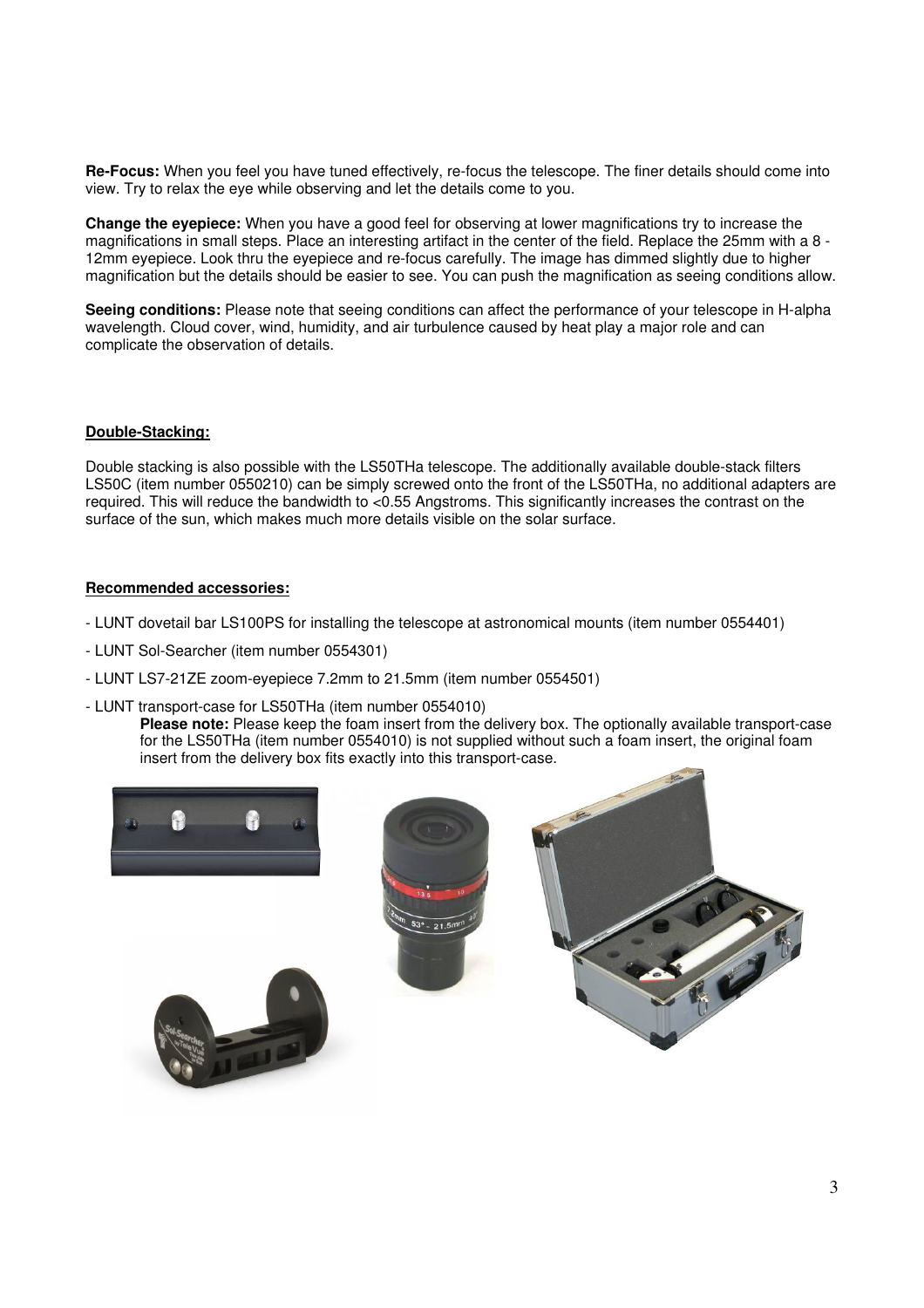**Re-Focus:** When you feel you have tuned effectively, re-focus the telescope. The finer details should come into view. Try to relax the eye while observing and let the details come to you.

**Change the eyepiece:** When you have a good feel for observing at lower magnifications try to increase the magnifications in small steps. Place an interesting artifact in the center of the field. Replace the 25mm with a 8 - 12mm eyepiece. Look thru the eyepiece and re-focus carefully. The image has dimmed slightly due to higher magnification but the details should be easier to see. You can push the magnification as seeing conditions allow.

**Seeing conditions:** Please note that seeing conditions can affect the performance of your telescope in H-alpha wavelength. Cloud cover, wind, humidity, and air turbulence caused by heat play a major role and can complicate the observation of details.

#### **Double-Stacking:**

Double stacking is also possible with the LS50THa telescope. The additionally available double-stack filters LS50C (item number 0550210) can be simply screwed onto the front of the LS50THa, no additional adapters are required. This will reduce the bandwidth to <0.55 Angstroms. This significantly increases the contrast on the surface of the sun, which makes much more details visible on the solar surface.

#### **Recommended accessories:**

- LUNT dovetail bar LS100PS for installing the telescope at astronomical mounts (item number 0554401)
- LUNT Sol-Searcher (item number 0554301)
- LUNT LS7-21ZE zoom-eyepiece 7.2mm to 21.5mm (item number 0554501)
- LUNT transport-case for LS50THa (item number 0554010)

 **Please note:** Please keep the foam insert from the delivery box. The optionally available transport-case for the LS50THa (item number 0554010) is not supplied without such a foam insert, the original foam insert from the delivery box fits exactly into this transport-case.